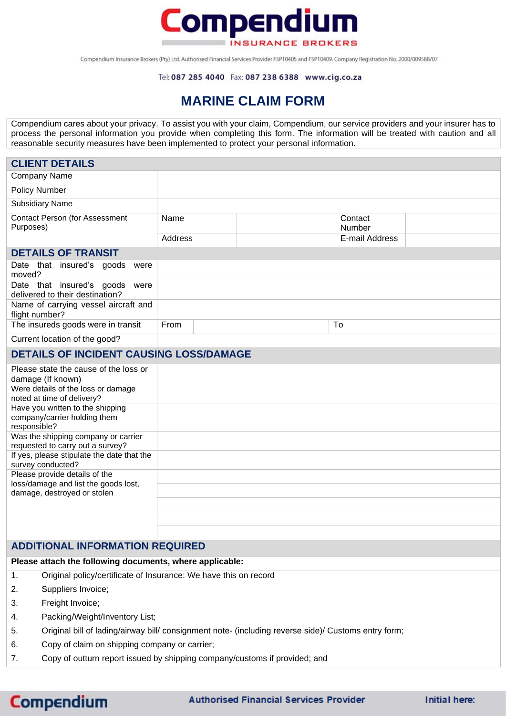

Compendium Insurance Brokers (Pty) Ltd. Authorised Financial Services Provider FSP10405 and FSP10409. Company Registration No. 2000/009588/07

## **MARINE CLAIM FORM**

Compendium cares about your privacy. To assist you with your claim, Compendium, our service providers and your insurer has to process the personal information you provide when completing this form. The information will be treated with caution and all reasonable security measures have been implemented to protect your personal information.

| <b>CLIENT DETAILS</b>                                                            |         |  |                   |  |
|----------------------------------------------------------------------------------|---------|--|-------------------|--|
| <b>Company Name</b>                                                              |         |  |                   |  |
| <b>Policy Number</b>                                                             |         |  |                   |  |
| <b>Subsidiary Name</b>                                                           |         |  |                   |  |
| <b>Contact Person (for Assessment</b><br>Purposes)                               | Name    |  | Contact<br>Number |  |
|                                                                                  | Address |  | E-mail Address    |  |
| <b>DETAILS OF TRANSIT</b>                                                        |         |  |                   |  |
| Date that insured's goods<br>were<br>moved?                                      |         |  |                   |  |
| Date that insured's goods<br>were<br>delivered to their destination?             |         |  |                   |  |
| Name of carrying vessel aircraft and<br>flight number?                           |         |  |                   |  |
| The insureds goods were in transit                                               | From    |  | To                |  |
| Current location of the good?                                                    |         |  |                   |  |
| <b>DETAILS OF INCIDENT CAUSING LOSS/DAMAGE</b>                                   |         |  |                   |  |
| Please state the cause of the loss or<br>damage (If known)                       |         |  |                   |  |
| Were details of the loss or damage<br>noted at time of delivery?                 |         |  |                   |  |
| Have you written to the shipping<br>company/carrier holding them<br>responsible? |         |  |                   |  |
| Was the shipping company or carrier<br>requested to carry out a survey?          |         |  |                   |  |
| If yes, please stipulate the date that the<br>survey conducted?                  |         |  |                   |  |
| Please provide details of the                                                    |         |  |                   |  |
| loss/damage and list the goods lost,<br>damage, destroyed or stolen              |         |  |                   |  |
|                                                                                  |         |  |                   |  |
|                                                                                  |         |  |                   |  |
|                                                                                  |         |  |                   |  |

## **ADDITIONAL INFORMATION REQUIRED**

## **Please attach the following documents, where applicable:**

- 1. Original policy/certificate of Insurance: We have this on record
- 2. Suppliers Invoice;
- 3. Freight Invoice;
- 4. Packing/Weight/Inventory List;
- 5. Original bill of lading/airway bill/ consignment note- (including reverse side)/ Customs entry form;
- 6. Copy of claim on shipping company or carrier;
- 7. Copy of outturn report issued by shipping company/customs if provided; and

## **Compendium**

**Authorised Financial Services Provider**